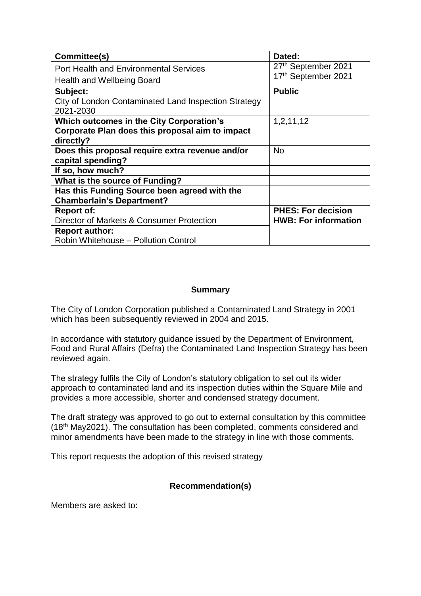| Committee(s)                                                      | Dated:                      |
|-------------------------------------------------------------------|-----------------------------|
| <b>Port Health and Environmental Services</b>                     | 27th September 2021         |
| <b>Health and Wellbeing Board</b>                                 | 17th September 2021         |
| Subject:                                                          | <b>Public</b>               |
| City of London Contaminated Land Inspection Strategy<br>2021-2030 |                             |
| Which outcomes in the City Corporation's                          | 1,2,11,12                   |
| Corporate Plan does this proposal aim to impact                   |                             |
| directly?                                                         |                             |
| Does this proposal require extra revenue and/or                   | <b>No</b>                   |
| capital spending?                                                 |                             |
| If so, how much?                                                  |                             |
| What is the source of Funding?                                    |                             |
| Has this Funding Source been agreed with the                      |                             |
| <b>Chamberlain's Department?</b>                                  |                             |
| <b>Report of:</b>                                                 | <b>PHES: For decision</b>   |
| Director of Markets & Consumer Protection                         | <b>HWB: For information</b> |
| <b>Report author:</b>                                             |                             |
| Robin Whitehouse - Pollution Control                              |                             |

## **Summary**

The City of London Corporation published a Contaminated Land Strategy in 2001 which has been subsequently reviewed in 2004 and 2015.

In accordance with statutory guidance issued by the Department of Environment, Food and Rural Affairs (Defra) the Contaminated Land Inspection Strategy has been reviewed again.

The strategy fulfils the City of London's statutory obligation to set out its wider approach to contaminated land and its inspection duties within the Square Mile and provides a more accessible, shorter and condensed strategy document.

The draft strategy was approved to go out to external consultation by this committee (18th May2021). The consultation has been completed, comments considered and minor amendments have been made to the strategy in line with those comments.

This report requests the adoption of this revised strategy

# **Recommendation(s)**

Members are asked to: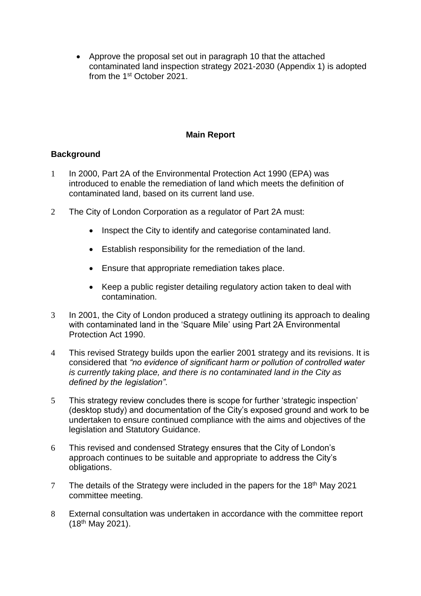• Approve the proposal set out in paragraph 10 that the attached contaminated land inspection strategy 2021-2030 (Appendix 1) is adopted from the 1st October 2021.

## **Main Report**

# **Background**

- 1 In 2000, Part 2A of the Environmental Protection Act 1990 (EPA) was introduced to enable the remediation of land which meets the definition of contaminated land, based on its current land use.
- 2 The City of London Corporation as a regulator of Part 2A must:
	- Inspect the City to identify and categorise contaminated land.
	- Establish responsibility for the remediation of the land.
	- Ensure that appropriate remediation takes place.
	- Keep a public register detailing regulatory action taken to deal with contamination.
- 3 In 2001, the City of London produced a strategy outlining its approach to dealing with contaminated land in the 'Square Mile' using Part 2A Environmental Protection Act 1990.
- 4 This revised Strategy builds upon the earlier 2001 strategy and its revisions. It is considered that *"no evidence of significant harm or pollution of controlled water is currently taking place, and there is no contaminated land in the City as defined by the legislation"*.
- 5 This strategy review concludes there is scope for further 'strategic inspection' (desktop study) and documentation of the City's exposed ground and work to be undertaken to ensure continued compliance with the aims and objectives of the legislation and Statutory Guidance.
- 6 This revised and condensed Strategy ensures that the City of London's approach continues to be suitable and appropriate to address the City's obligations.
- 7 The details of the Strategy were included in the papers for the 18<sup>th</sup> May 2021 committee meeting.
- 8 External consultation was undertaken in accordance with the committee report (18th May 2021).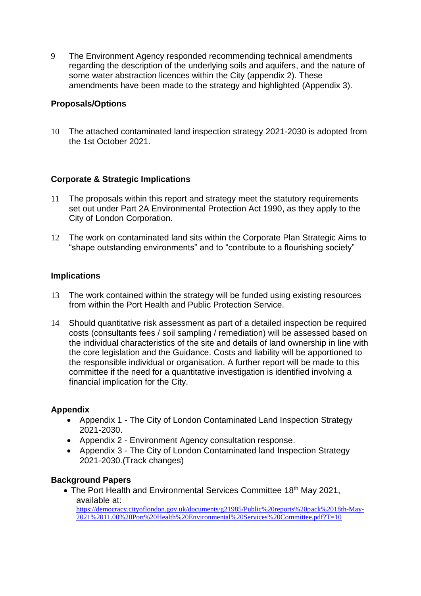9 The Environment Agency responded recommending technical amendments regarding the description of the underlying soils and aquifers, and the nature of some water abstraction licences within the City (appendix 2). These amendments have been made to the strategy and highlighted (Appendix 3).

# **Proposals/Options**

10 The attached contaminated land inspection strategy 2021-2030 is adopted from the 1st October 2021.

## **Corporate & Strategic Implications**

- 11 The proposals within this report and strategy meet the statutory requirements set out under Part 2A Environmental Protection Act 1990, as they apply to the City of London Corporation.
- 12 The work on contaminated land sits within the Corporate Plan Strategic Aims to "shape outstanding environments" and to "contribute to a flourishing society"

## **Implications**

- 13 The work contained within the strategy will be funded using existing resources from within the Port Health and Public Protection Service.
- 14 Should quantitative risk assessment as part of a detailed inspection be required costs (consultants fees / soil sampling / remediation) will be assessed based on the individual characteristics of the site and details of land ownership in line with the core legislation and the Guidance. Costs and liability will be apportioned to the responsible individual or organisation. A further report will be made to this committee if the need for a quantitative investigation is identified involving a financial implication for the City.

## **Appendix**

- Appendix 1 The City of London Contaminated Land Inspection Strategy 2021-2030.
- Appendix 2 Environment Agency consultation response.
- Appendix 3 The City of London Contaminated land Inspection Strategy 2021-2030.(Track changes)

## **Background Papers**

• The Port Health and Environmental Services Committee 18<sup>th</sup> May 2021, available at: [https://democracy.cityoflondon.gov.uk/documents/g21985/Public%20reports%20pack%2018th-May-](https://democracy.cityoflondon.gov.uk/documents/g21985/Public%20reports%20pack%2018th-May-2021%2011.00%20Port%20Health%20Environmental%20Services%20Committee.pdf?T=10)[2021%2011.00%20Port%20Health%20Environmental%20Services%20Committee.pdf?T=10](https://democracy.cityoflondon.gov.uk/documents/g21985/Public%20reports%20pack%2018th-May-2021%2011.00%20Port%20Health%20Environmental%20Services%20Committee.pdf?T=10)